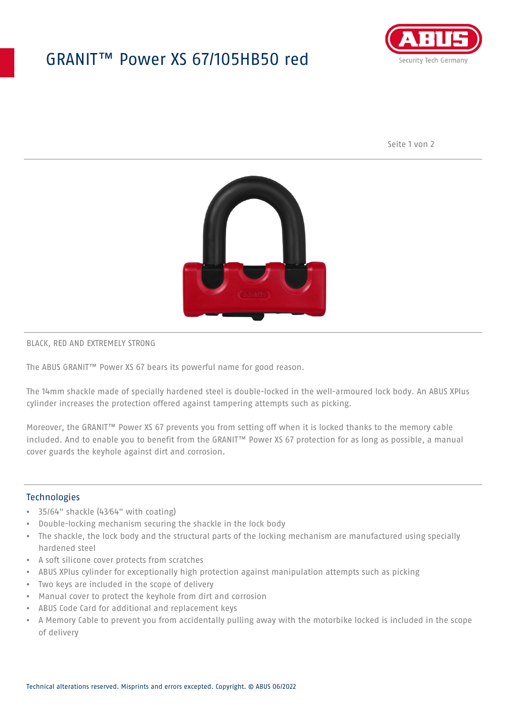## GRANIT™ Power XS 67/105HB50 red



Seite 1 von 2



#### BLACK, RED AND EXTREMELY STRONG

The ABUS GRANIT™ Power XS 67 bears its powerful name for good reason.

The 14mm shackle made of specially hardened steel is double-locked in the well-armoured lock body. An ABUS XPlus cylinder increases the protection offered against tampering attempts such as picking.

Moreover, the GRANIT™ Power XS 67 prevents you from setting off when it is locked thanks to the memory cable included. And to enable you to benefit from the GRANIT™ Power XS 67 protection for as long as possible, a manual cover guards the keyhole against dirt and corrosion.

### **Technologies**

- 35/64" shackle (43⁄64" with coating)
- Double-locking mechanism securing the shackle in the lock body
- The shackle, the lock body and the structural parts of the locking mechanism are manufactured using specially hardened steel
- A soft silicone cover protects from scratches
- ABUS XPlus cylinder for exceptionally high protection against manipulation attempts such as picking
- Two keys are included in the scope of delivery
- Manual cover to protect the keyhole from dirt and corrosion
- ABUS Code Card for additional and replacement keys
- A Memory Cable to prevent you from accidentally pulling away with the motorbike locked is included in the scope of delivery